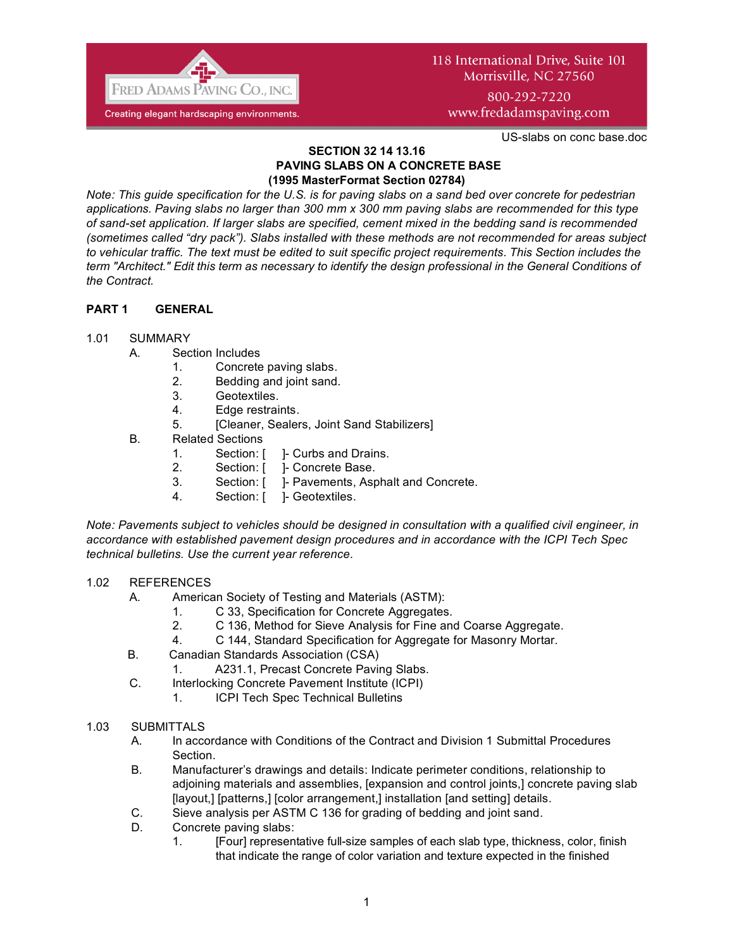

# 118 International Drive, Suite 101 Morrisville, NC 27560 800-292-7220

www.fredadamspaving.com

US-slabs on conc base.doc

#### **SECTION 32 14 13.16 PAVING SLABS ON A CONCRETE BASE (1995 MasterFormat Section 02784)**

*Note: This guide specification for the U.S. is for paving slabs on a sand bed over concrete for pedestrian applications. Paving slabs no larger than 300 mm x 300 mm paving slabs are recommended for this type of sand-set application. If larger slabs are specified, cement mixed in the bedding sand is recommended (sometimes called "dry pack"). Slabs installed with these methods are not recommended for areas subject to vehicular traffic. The text must be edited to suit specific project requirements. This Section includes the term "Architect." Edit this term as necessary to identify the design professional in the General Conditions of the Contract.*

# **PART 1 GENERAL**

## 1.01 SUMMARY

- A. Section Includes
	- 1. Concrete paving slabs.
	- 2. Bedding and joint sand.
	- 3. Geotextiles.
	- 4. Edge restraints.
	- 5. [Cleaner, Sealers, Joint Sand Stabilizers]
- B. Related Sections
	- 1. Section: [ ]- Curbs and Drains.
	- 2. Section: [ ]- Concrete Base.
	- 3. Section: [ ]- Pavements, Asphalt and Concrete.
	- 4. Section: [ ]- Geotextiles.

*Note: Pavements subject to vehicles should be designed in consultation with a qualified civil engineer, in accordance with established pavement design procedures and in accordance with the ICPI Tech Spec technical bulletins. Use the current year reference.*

## 1.02 REFERENCES

- A. American Society of Testing and Materials (ASTM):
	- 1. C 33, Specification for Concrete Aggregates.
	- 2. C 136, Method for Sieve Analysis for Fine and Coarse Aggregate.
	- 4. C 144, Standard Specification for Aggregate for Masonry Mortar.
- B. Canadian Standards Association (CSA)
	- 1. A231.1, Precast Concrete Paving Slabs.
- C. Interlocking Concrete Pavement Institute (ICPI)
	- 1. ICPI Tech Spec Technical Bulletins
- 1.03 SUBMITTALS
	- A. In accordance with Conditions of the Contract and Division 1 Submittal Procedures Section.
	- B. Manufacturer's drawings and details: Indicate perimeter conditions, relationship to adjoining materials and assemblies, [expansion and control joints,] concrete paving slab [layout,] [patterns,] [color arrangement,] installation [and setting] details.
	- C. Sieve analysis per ASTM C 136 for grading of bedding and joint sand.
	- D. Concrete paving slabs:
		- 1. [Four] representative full-size samples of each slab type, thickness, color, finish that indicate the range of color variation and texture expected in the finished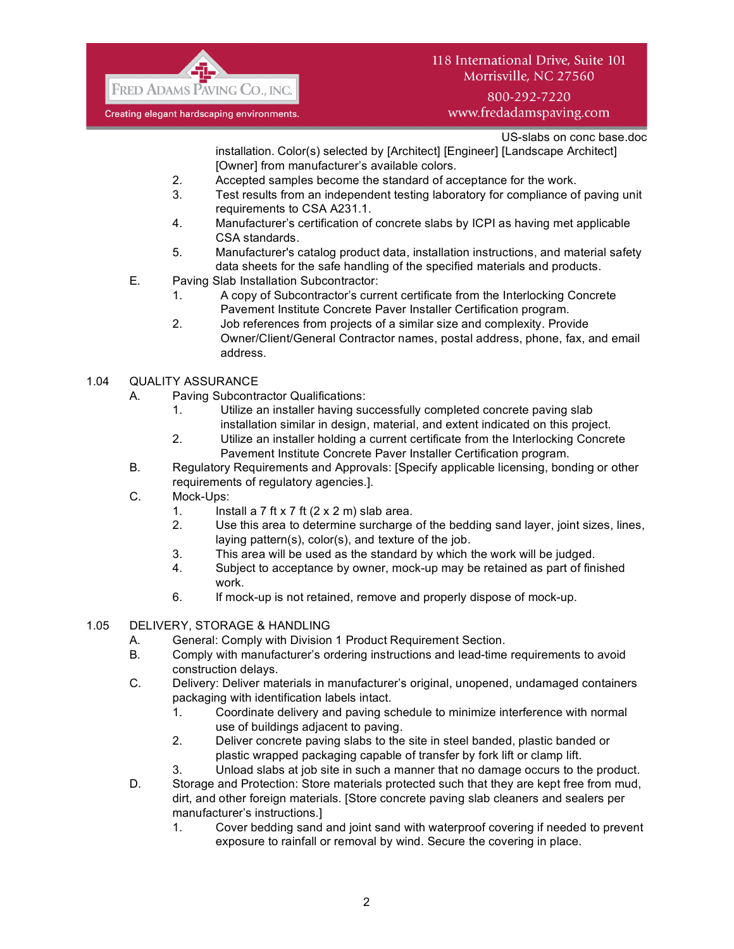

# 118 International Drive, Suite 101 Morrisville, NC 27560

# 800-292-7220 www.fredadamspaving.com

US-slabs on conc base.doc

installation. Color(s) selected by [Architect] [Engineer] [Landscape Architect] [Owner] from manufacturer's available colors.

- 2. Accepted samples become the standard of acceptance for the work.
- 3. Test results from an independent testing laboratory for compliance of paving unit requirements to CSA A231.1.
- 4. Manufacturer's certification of concrete slabs by ICPI as having met applicable CSA standards.
- 5. Manufacturer's catalog product data, installation instructions, and material safety data sheets for the safe handling of the specified materials and products.
- E. Paving Slab Installation Subcontractor:
	- 1. A copy of Subcontractor's current certificate from the Interlocking Concrete Pavement Institute Concrete Paver Installer Certification program.
	- 2. Job references from projects of a similar size and complexity. Provide Owner/Client/General Contractor names, postal address, phone, fax, and email address.

# 1.04 QUALITY ASSURANCE

- A. Paving Subcontractor Qualifications:
	- 1. Utilize an installer having successfully completed concrete paving slab installation similar in design, material, and extent indicated on this project.
	- 2. Utilize an installer holding a current certificate from the Interlocking Concrete Pavement Institute Concrete Paver Installer Certification program.
- B. Regulatory Requirements and Approvals: [Specify applicable licensing, bonding or other requirements of regulatory agencies.].
- C. Mock-Ups:
	- 1. Install a  $7$  ft  $\times$  7 ft  $(2 \times 2 \text{ m})$  slab area.
	- 2. Use this area to determine surcharge of the bedding sand layer, joint sizes, lines, laying pattern(s), color(s), and texture of the job.
	- 3. This area will be used as the standard by which the work will be judged.
	- 4. Subject to acceptance by owner, mock-up may be retained as part of finished work.
	- 6. If mock-up is not retained, remove and properly dispose of mock-up.
- 1.05 DELIVERY, STORAGE & HANDLING
	- A. General: Comply with Division 1 Product Requirement Section.
	- B. Comply with manufacturer's ordering instructions and lead-time requirements to avoid construction delays.
	- C. Delivery: Deliver materials in manufacturer's original, unopened, undamaged containers packaging with identification labels intact.
		- 1. Coordinate delivery and paving schedule to minimize interference with normal use of buildings adjacent to paving.
		- 2. Deliver concrete paving slabs to the site in steel banded, plastic banded or plastic wrapped packaging capable of transfer by fork lift or clamp lift.
	- 3. Unload slabs at job site in such a manner that no damage occurs to the product. D. Storage and Protection: Store materials protected such that they are kept free from mud, dirt, and other foreign materials. [Store concrete paving slab cleaners and sealers per manufacturer's instructions.]
		- 1. Cover bedding sand and joint sand with waterproof covering if needed to prevent exposure to rainfall or removal by wind. Secure the covering in place.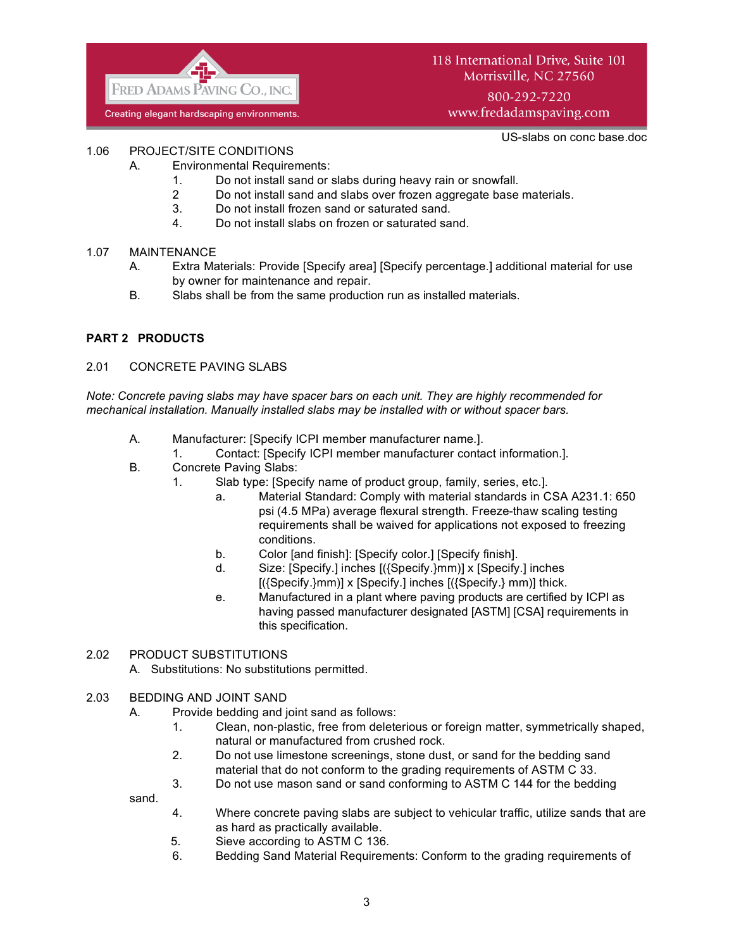

# 118 International Drive, Suite 101 Morrisville, NC 27560

800-292-7220 www.fredadamspaving.com

US-slabs on conc base.doc

## 1.06 PROJECT/SITE CONDITIONS

- A. Environmental Requirements:
	- 1. Do not install sand or slabs during heavy rain or snowfall.
	- 2 Do not install sand and slabs over frozen aggregate base materials.
	- 3. Do not install frozen sand or saturated sand.
	- 4. Do not install slabs on frozen or saturated sand.

## 1.07 MAINTENANCE

- A. Extra Materials: Provide [Specify area] [Specify percentage.] additional material for use by owner for maintenance and repair.
- B. Slabs shall be from the same production run as installed materials.

### **PART 2 PRODUCTS**

#### 2.01 CONCRETE PAVING SLABS

*Note: Concrete paving slabs may have spacer bars on each unit. They are highly recommended for mechanical installation. Manually installed slabs may be installed with or without spacer bars.*

- A. Manufacturer: [Specify ICPI member manufacturer name.].
	- 1. Contact: [Specify ICPI member manufacturer contact information.].
- B. Concrete Paving Slabs:
	- 1. Slab type: [Specify name of product group, family, series, etc.].
		- a. Material Standard: Comply with material standards in CSA A231.1: 650 psi (4.5 MPa) average flexural strength. Freeze-thaw scaling testing requirements shall be waived for applications not exposed to freezing conditions.
		- b. Color [and finish]: [Specify color.] [Specify finish].
		- d. Size: [Specify.] inches [({Specify.}mm)] x [Specify.] inches [({Specify.}mm)] x [Specify.] inches [({Specify.} mm)] thick.
		- e. Manufactured in a plant where paving products are certified by ICPI as having passed manufacturer designated [ASTM] [CSA] requirements in this specification.

#### 2.02 PRODUCT SUBSTITUTIONS

- A. Substitutions: No substitutions permitted.
- 2.03 BEDDING AND JOINT SAND
	- A. Provide bedding and joint sand as follows:
		- 1. Clean, non-plastic, free from deleterious or foreign matter, symmetrically shaped, natural or manufactured from crushed rock.
		- 2. Do not use limestone screenings, stone dust, or sand for the bedding sand material that do not conform to the grading requirements of ASTM C 33.
		- 3. Do not use mason sand or sand conforming to ASTM C 144 for the bedding

sand.

- 4. Where concrete paving slabs are subject to vehicular traffic, utilize sands that are as hard as practically available.
- 5. Sieve according to ASTM C 136.
- 6. Bedding Sand Material Requirements: Conform to the grading requirements of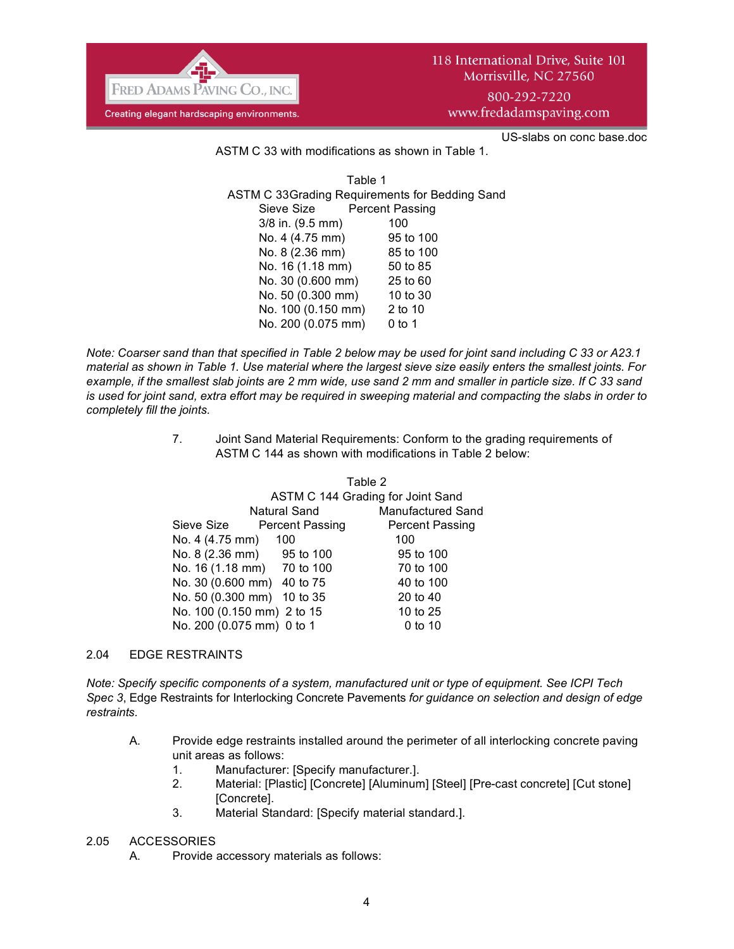

US-slabs on conc base.doc

ASTM C 33 with modifications as shown in Table 1.

Table 1 ASTM C 33Grading Requirements for Bedding Sand Sieve Size Percent Passing 3/8 in. (9.5 mm) 100 No. 4 (4.75 mm) 95 to 100 No. 8 (2.36 mm) 85 to 100 No. 16 (1.18 mm) 50 to 85 No. 30 (0.600 mm) 25 to 60 No. 50 (0.300 mm) 10 to 30 No. 100 (0.150 mm) 2 to 10 No. 200 (0.075 mm) 0 to 1

*Note: Coarser sand than that specified in Table 2 below may be used for joint sand including C 33 or A23.1 material as shown in Table 1. Use material where the largest sieve size easily enters the smallest joints. For example, if the smallest slab joints are 2 mm wide, use sand 2 mm and smaller in particle size. If C 33 sand is used for joint sand, extra effort may be required in sweeping material and compacting the slabs in order to completely fill the joints.* 

> 7. Joint Sand Material Requirements: Conform to the grading requirements of ASTM C 144 as shown with modifications in Table 2 below:

|                            | Table 2                           |                          |
|----------------------------|-----------------------------------|--------------------------|
|                            | ASTM C 144 Grading for Joint Sand |                          |
|                            | Natural Sand                      | <b>Manufactured Sand</b> |
| Sieve Size                 | <b>Percent Passing</b>            | <b>Percent Passing</b>   |
| No. 4 (4.75 mm) 100        |                                   | 100                      |
| No. 8 (2.36 mm) 95 to 100  |                                   | 95 to 100                |
| No. 16 (1.18 mm) 70 to 100 |                                   | 70 to 100                |
| No. 30 (0.600 mm) 40 to 75 |                                   | 40 to 100                |
| No. 50 (0.300 mm) 10 to 35 |                                   | 20 to 40                 |
| No. 100 (0.150 mm) 2 to 15 |                                   | 10 to 25                 |
| No. 200 (0.075 mm) 0 to 1  |                                   | 0 to 10                  |

#### 2.04 EDGE RESTRAINTS

*Note: Specify specific components of a system, manufactured unit or type of equipment. See ICPI Tech Spec 3*, Edge Restraints for Interlocking Concrete Pavements *for guidance on selection and design of edge restraints.*

- A. Provide edge restraints installed around the perimeter of all interlocking concrete paving unit areas as follows:
	- 1. Manufacturer: [Specify manufacturer.].
	- 2. Material: [Plastic] [Concrete] [Aluminum] [Steel] [Pre-cast concrete] [Cut stone] [Concrete].
	- 3. Material Standard: [Specify material standard.].

#### 2.05 ACCESSORIES

A. Provide accessory materials as follows: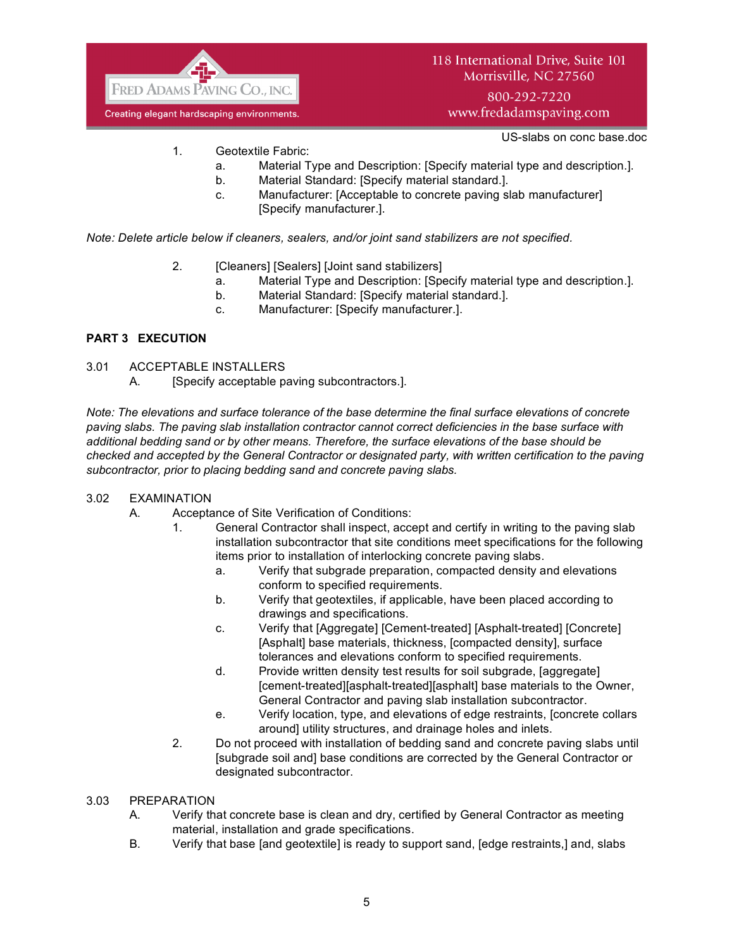

800-292-7220 www.fredadamspaving.com

US-slabs on conc base.doc

- 1. Geotextile Fabric:
	- a. Material Type and Description: [Specify material type and description.].
	- b. Material Standard: [Specify material standard.].
	- c. Manufacturer: [Acceptable to concrete paving slab manufacturer] [Specify manufacturer.].

*Note: Delete article below if cleaners, sealers, and/or joint sand stabilizers are not specified.*

- 2. **[Cleaners] [Sealers] [Joint sand stabilizers]** 
	- a. Material Type and Description: [Specify material type and description.].
	- b. Material Standard: [Specify material standard.].
	- c. Manufacturer: [Specify manufacturer.].

# **PART 3 EXECUTION**

- 3.01 ACCEPTABLE INSTALLERS
	- A. [Specify acceptable paving subcontractors.].

*Note: The elevations and surface tolerance of the base determine the final surface elevations of concrete paving slabs. The paving slab installation contractor cannot correct deficiencies in the base surface with additional bedding sand or by other means. Therefore, the surface elevations of the base should be checked and accepted by the General Contractor or designated party, with written certification to the paving subcontractor, prior to placing bedding sand and concrete paving slabs.*

## 3.02 EXAMINATION

- A. Acceptance of Site Verification of Conditions:
	- 1. General Contractor shall inspect, accept and certify in writing to the paving slab installation subcontractor that site conditions meet specifications for the following items prior to installation of interlocking concrete paving slabs.
		- a. Verify that subgrade preparation, compacted density and elevations conform to specified requirements.
		- b. Verify that geotextiles, if applicable, have been placed according to drawings and specifications.
		- c. Verify that [Aggregate] [Cement-treated] [Asphalt-treated] [Concrete] [Asphalt] base materials, thickness, [compacted density], surface tolerances and elevations conform to specified requirements.
		- d. Provide written density test results for soil subgrade, [aggregate] [cement-treated][asphalt-treated][asphalt] base materials to the Owner, General Contractor and paving slab installation subcontractor.
		- e. Verify location, type, and elevations of edge restraints, [concrete collars around] utility structures, and drainage holes and inlets.
	- 2. Do not proceed with installation of bedding sand and concrete paving slabs until [subgrade soil and] base conditions are corrected by the General Contractor or designated subcontractor.

## 3.03 PREPARATION

- A. Verify that concrete base is clean and dry, certified by General Contractor as meeting material, installation and grade specifications.
- B. Verify that base [and geotextile] is ready to support sand, [edge restraints,] and, slabs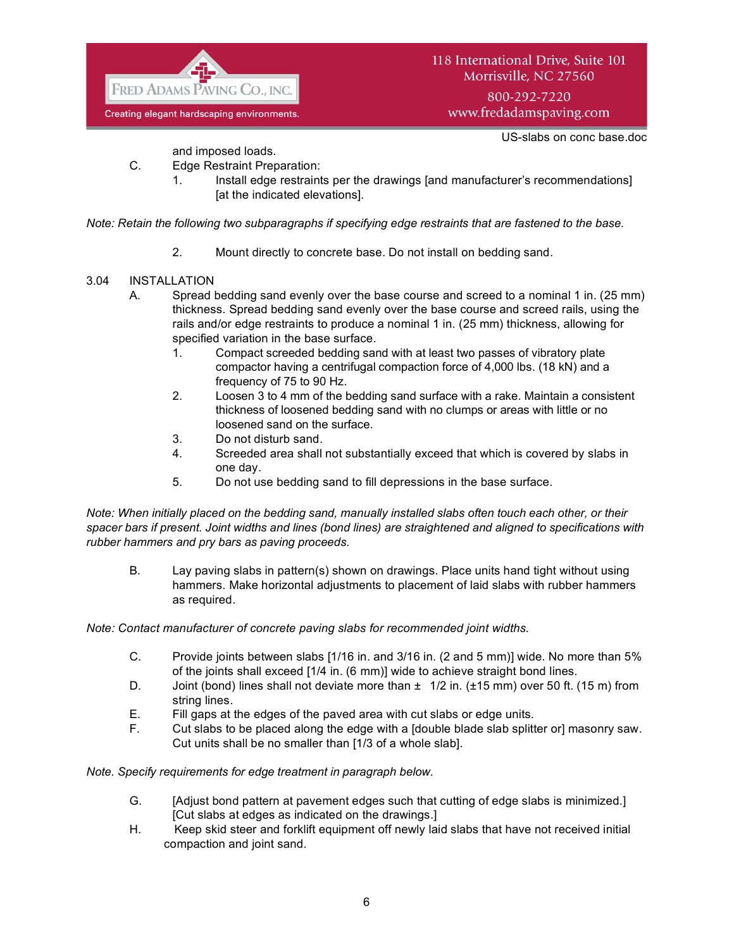

US-slabs on conc base.doc

and imposed loads.

- C. Edge Restraint Preparation:
	- 1. Install edge restraints per the drawings [and manufacturer's recommendations] [at the indicated elevations].

*Note: Retain the following two subparagraphs if specifying edge restraints that are fastened to the base.*

2. Mount directly to concrete base. Do not install on bedding sand.

# 3.04 INSTALLATION

- A. Spread bedding sand evenly over the base course and screed to a nominal 1 in. (25 mm) thickness. Spread bedding sand evenly over the base course and screed rails, using the rails and/or edge restraints to produce a nominal 1 in. (25 mm) thickness, allowing for specified variation in the base surface.
	- 1. Compact screeded bedding sand with at least two passes of vibratory plate compactor having a centrifugal compaction force of 4,000 lbs. (18 kN) and a frequency of 75 to 90 Hz.
	- 2. Loosen 3 to 4 mm of the bedding sand surface with a rake. Maintain a consistent thickness of loosened bedding sand with no clumps or areas with little or no loosened sand on the surface.
	- 3. Do not disturb sand.
	- 4. Screeded area shall not substantially exceed that which is covered by slabs in one day.
	- 5. Do not use bedding sand to fill depressions in the base surface.

*Note: When initially placed on the bedding sand, manually installed slabs often touch each other, or their spacer bars if present. Joint widths and lines (bond lines) are straightened and aligned to specifications with rubber hammers and pry bars as paving proceeds.*

B. Lay paving slabs in pattern(s) shown on drawings. Place units hand tight without using hammers. Make horizontal adjustments to placement of laid slabs with rubber hammers as required.

*Note: Contact manufacturer of concrete paving slabs for recommended joint widths.*

- C. Provide joints between slabs [1/16 in. and 3/16 in. (2 and 5 mm)] wide. No more than 5% of the joints shall exceed [1/4 in. (6 mm)] wide to achieve straight bond lines.
- D. Joint (bond) lines shall not deviate more than  $\pm 1/2$  in. ( $\pm 15$  mm) over 50 ft. (15 m) from string lines.
- E. Fill gaps at the edges of the paved area with cut slabs or edge units.
- F. Cut slabs to be placed along the edge with a [double blade slab splitter or] masonry saw. Cut units shall be no smaller than [1/3 of a whole slab].

*Note. Specify requirements for edge treatment in paragraph below.*

- G. [Adjust bond pattern at pavement edges such that cutting of edge slabs is minimized.] [Cut slabs at edges as indicated on the drawings.]
- H. Keep skid steer and forklift equipment off newly laid slabs that have not received initial compaction and joint sand.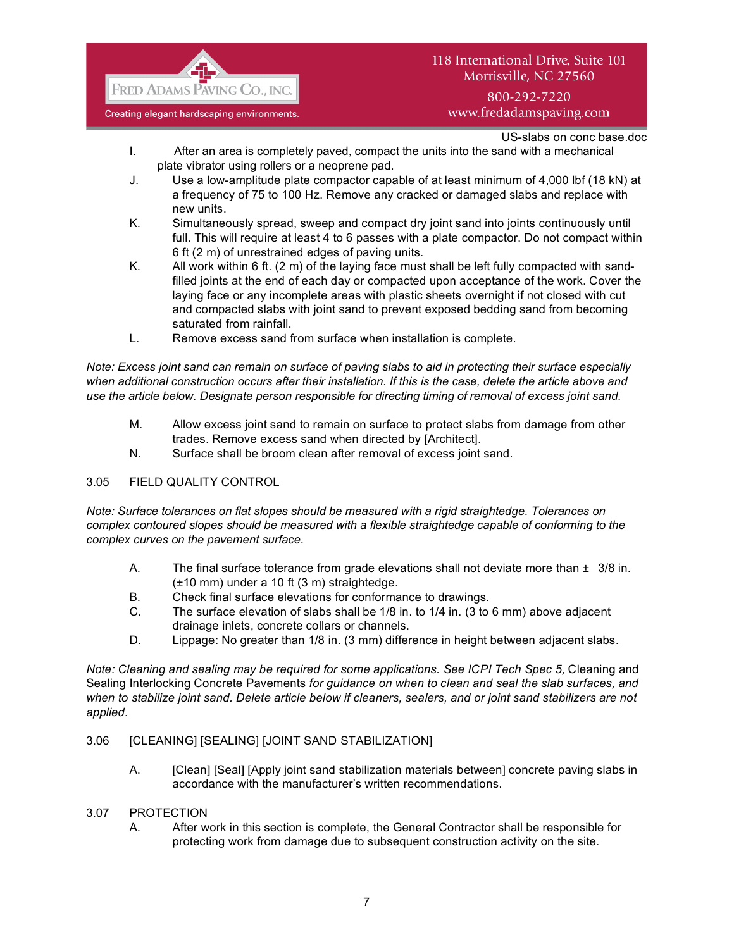

# 118 International Drive, Suite 101 Morrisville, NC 27560

# 800-292-7220 www.fredadamspaving.com

# US-slabs on conc base.doc

- I. After an area is completely paved, compact the units into the sand with a mechanical plate vibrator using rollers or a neoprene pad.
- J. Use a low-amplitude plate compactor capable of at least minimum of 4,000 lbf (18 kN) at a frequency of 75 to 100 Hz. Remove any cracked or damaged slabs and replace with new units.
- K. Simultaneously spread, sweep and compact dry joint sand into joints continuously until full. This will require at least 4 to 6 passes with a plate compactor. Do not compact within 6 ft (2 m) of unrestrained edges of paving units.
- K. All work within 6 ft. (2 m) of the laying face must shall be left fully compacted with sandfilled joints at the end of each day or compacted upon acceptance of the work. Cover the laying face or any incomplete areas with plastic sheets overnight if not closed with cut and compacted slabs with joint sand to prevent exposed bedding sand from becoming saturated from rainfall.
- L. Remove excess sand from surface when installation is complete.

*Note: Excess joint sand can remain on surface of paving slabs to aid in protecting their surface especially when additional construction occurs after their installation. If this is the case, delete the article above and use the article below. Designate person responsible for directing timing of removal of excess joint sand.*

- M. Allow excess joint sand to remain on surface to protect slabs from damage from other trades. Remove excess sand when directed by [Architect].
- N. Surface shall be broom clean after removal of excess joint sand.

# 3.05 FIELD QUALITY CONTROL

*Note: Surface tolerances on flat slopes should be measured with a rigid straightedge. Tolerances on complex contoured slopes should be measured with a flexible straightedge capable of conforming to the complex curves on the pavement surface.*

- A. The final surface tolerance from grade elevations shall not deviate more than  $\pm 3/8$  in. (±10 mm) under a 10 ft (3 m) straightedge.
- B. Check final surface elevations for conformance to drawings.
- C. The surface elevation of slabs shall be 1/8 in. to 1/4 in. (3 to 6 mm) above adjacent drainage inlets, concrete collars or channels.
- D. Lippage: No greater than 1/8 in. (3 mm) difference in height between adjacent slabs.

*Note: Cleaning and sealing may be required for some applications. See ICPI Tech Spec 5, Cleaning and* Sealing Interlocking Concrete Pavements *for guidance on when to clean and seal the slab surfaces, and when to stabilize joint sand. Delete article below if cleaners, sealers, and or joint sand stabilizers are not applied.*

## 3.06 [CLEANING] [SEALING] [JOINT SAND STABILIZATION]

A. [Clean] [Seal] [Apply joint sand stabilization materials between] concrete paving slabs in accordance with the manufacturer's written recommendations.

## 3.07 PROTECTION

A. After work in this section is complete, the General Contractor shall be responsible for protecting work from damage due to subsequent construction activity on the site.